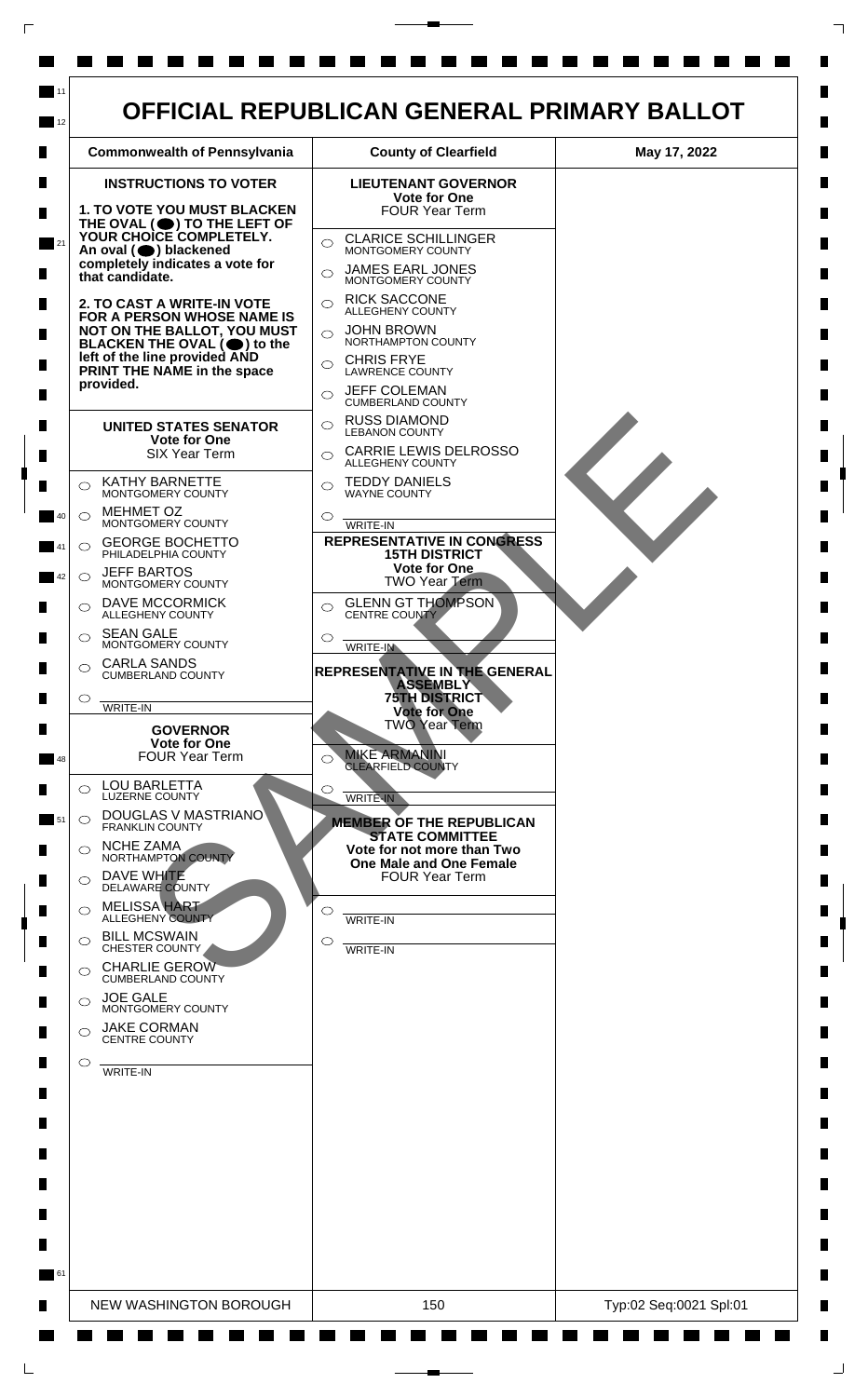

 $\mathsf{L}$ 

 $\Box$